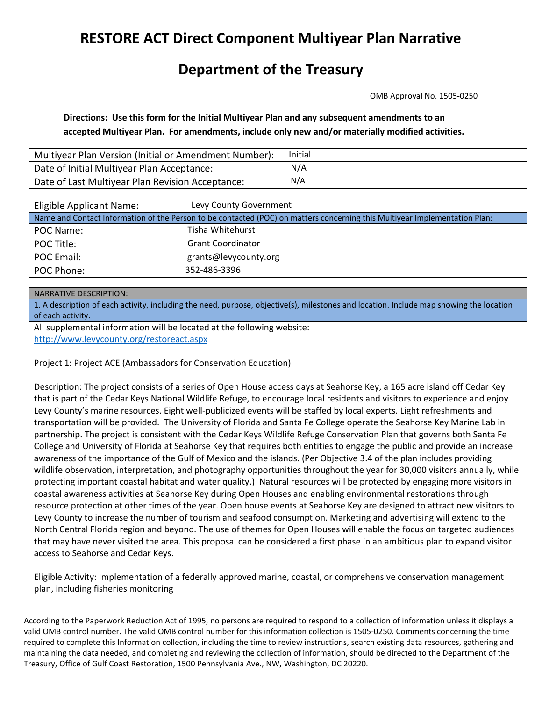# **RESTORE ACT Direct Component Multiyear Plan Narrative**

## **Department of the Treasury**

OMB Approval No. 1505-0250

**Directions: Use this form for the Initial Multiyear Plan and any subsequent amendments to an accepted Multiyear Plan. For amendments, include only new and/or materially modified activities.**

| Multiyear Plan Version (Initial or Amendment Number): | Initial |
|-------------------------------------------------------|---------|
| Date of Initial Multiyear Plan Acceptance:            | N/A     |
| Date of Last Multiyear Plan Revision Acceptance:      | N/A     |

| Eligible Applicant Name:                                                                                                   | Levy County Government   |  |  |  |
|----------------------------------------------------------------------------------------------------------------------------|--------------------------|--|--|--|
| Name and Contact Information of the Person to be contacted (POC) on matters concerning this Multiyear Implementation Plan: |                          |  |  |  |
| POC Name:                                                                                                                  | Tisha Whitehurst         |  |  |  |
| POC Title:                                                                                                                 | <b>Grant Coordinator</b> |  |  |  |
| POC Email:                                                                                                                 | grants@levycounty.org    |  |  |  |
| POC Phone:                                                                                                                 | 352-486-3396             |  |  |  |

### NARRATIVE DESCRIPTION:

1. A description of each activity, including the need, purpose, objective(s), milestones and location. Include map showing the location of each activity.

All supplemental information will be located at the following website:

http://www.levycounty.org/restoreact.aspx

Project 1: Project ACE (Ambassadors for Conservation Education)

Description: The project consists of a series of Open House access days at Seahorse Key, a 165 acre island off Cedar Key that is part of the Cedar Keys National Wildlife Refuge, to encourage local residents and visitors to experience and enjoy Levy County's marine resources. Eight well-publicized events will be staffed by local experts. Light refreshments and transportation will be provided. The University of Florida and Santa Fe College operate the Seahorse Key Marine Lab in partnership. The project is consistent with the Cedar Keys Wildlife Refuge Conservation Plan that governs both Santa Fe College and University of Florida at Seahorse Key that requires both entities to engage the public and provide an increase awareness of the importance of the Gulf of Mexico and the islands. (Per Objective 3.4 of the plan includes providing wildlife observation, interpretation, and photography opportunities throughout the year for 30,000 visitors annually, while protecting important coastal habitat and water quality.) Natural resources will be protected by engaging more visitors in coastal awareness activities at Seahorse Key during Open Houses and enabling environmental restorations through resource protection at other times of the year. Open house events at Seahorse Key are designed to attract new visitors to Levy County to increase the number of tourism and seafood consumption. Marketing and advertising will extend to the North Central Florida region and beyond. The use of themes for Open Houses will enable the focus on targeted audiences that may have never visited the area. This proposal can be considered a first phase in an ambitious plan to expand visitor access to Seahorse and Cedar Keys.

Eligible Activity: Implementation of a federally approved marine, coastal, or comprehensive conservation management plan, including fisheries monitoring

According to the Paperwork Reduction Act of 1995, no persons are required to respond to a collection of information unless it displays a valid OMB control number. The valid OMB control number for this information collection is 1505-0250. Comments concerning the time required to complete this Information collection, including the time to review instructions, search existing data resources, gathering and maintaining the data needed, and completing and reviewing the collection of information, should be directed to the Department of the Treasury, Office of Gulf Coast Restoration, 1500 Pennsylvania Ave., NW, Washington, DC 20220.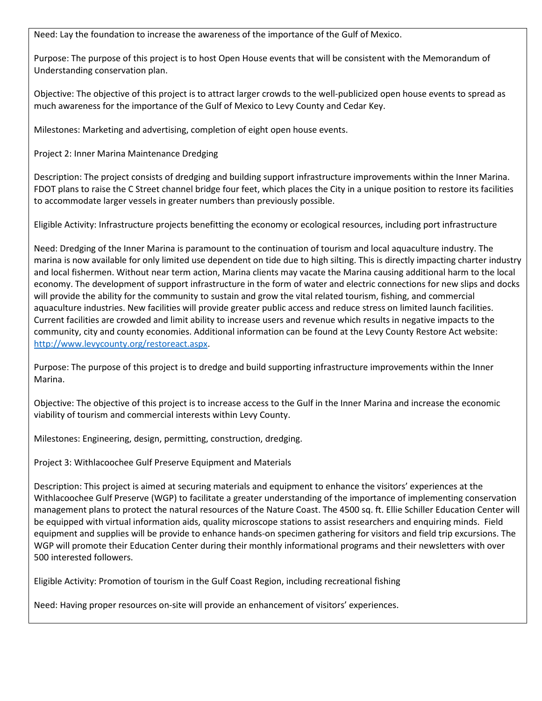Need: Lay the foundation to increase the awareness of the importance of the Gulf of Mexico.

Purpose: The purpose of this project is to host Open House events that will be consistent with the Memorandum of Understanding conservation plan.

Objective: The objective of this project is to attract larger crowds to the well-publicized open house events to spread as much awareness for the importance of the Gulf of Mexico to Levy County and Cedar Key.

Milestones: Marketing and advertising, completion of eight open house events.

Project 2: Inner Marina Maintenance Dredging

Description: The project consists of dredging and building support infrastructure improvements within the Inner Marina. FDOT plans to raise the C Street channel bridge four feet, which places the City in a unique position to restore its facilities to accommodate larger vessels in greater numbers than previously possible.

Eligible Activity: Infrastructure projects benefitting the economy or ecological resources, including port infrastructure

Need: Dredging of the Inner Marina is paramount to the continuation of tourism and local aquaculture industry. The marina is now available for only limited use dependent on tide due to high silting. This is directly impacting charter industry and local fishermen. Without near term action, Marina clients may vacate the Marina causing additional harm to the local economy. The development of support infrastructure in the form of water and electric connections for new slips and docks will provide the ability for the community to sustain and grow the vital related tourism, fishing, and commercial aquaculture industries. New facilities will provide greater public access and reduce stress on limited launch facilities. Current facilities are crowded and limit ability to increase users and revenue which results in negative impacts to the community, city and county economies. Additional information can be found at the Levy County Restore Act website: http://www.levycounty.org/restoreact.aspx.

Purpose: The purpose of this project is to dredge and build supporting infrastructure improvements within the Inner Marina.

Objective: The objective of this project is to increase access to the Gulf in the Inner Marina and increase the economic viability of tourism and commercial interests within Levy County.

Milestones: Engineering, design, permitting, construction, dredging.

Project 3: Withlacoochee Gulf Preserve Equipment and Materials

Description: This project is aimed at securing materials and equipment to enhance the visitors' experiences at the Withlacoochee Gulf Preserve (WGP) to facilitate a greater understanding of the importance of implementing conservation management plans to protect the natural resources of the Nature Coast. The 4500 sq. ft. Ellie Schiller Education Center will be equipped with virtual information aids, quality microscope stations to assist researchers and enquiring minds. Field equipment and supplies will be provide to enhance hands-on specimen gathering for visitors and field trip excursions. The WGP will promote their Education Center during their monthly informational programs and their newsletters with over 500 interested followers.

Eligible Activity: Promotion of tourism in the Gulf Coast Region, including recreational fishing

Need: Having proper resources on-site will provide an enhancement of visitors' experiences.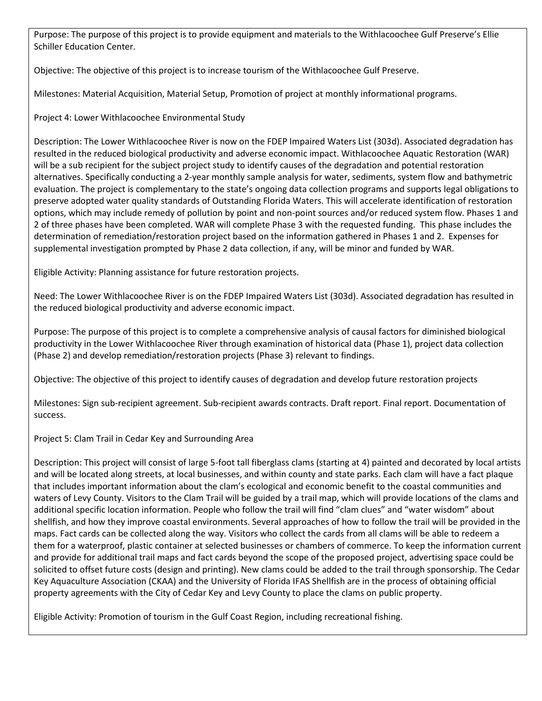Purpose: The purpose of this project is to provide equipment and materials to the Withlacoochee Gulf Preserve's Ellie Schiller Education Center.

Objective: The objective of this project is to increase tourism of the Withlacoochee Gulf Preserve.

Milestones: Material Acquisition, Material Setup, Promotion of project at monthly informational programs.

Project 4: Lower Withlacoochee Environmental Study

Description: The Lower Withlacoochee River is now on the FDEP Impaired Waters List (303d). Associated degradation has resulted in the reduced biological productivity and adverse economic impact. Withlacoochee Aquatic Restoration (WAR) will be a sub recipient for the subject project study to identify causes of the degradation and potential restoration alternatives. Specifically conducting a 2-year monthly sample analysis for water, sediments, system flow and bathymetric evaluation. The project is complementary to the state's ongoing data collection programs and supports legal obligations to preserve adopted water quality standards of Outstanding Florida Waters. This will accelerate identification of restoration options, which may include remedy of pollution by point and non-point sources and/or reduced system flow. Phases 1 and 2 of three phases have been completed. WAR will complete Phase 3 with the requested funding. This phase includes the determination of remediation/restoration project based on the information gathered in Phases 1 and 2. Expenses for supplemental investigation prompted by Phase 2 data collection, if any, will be minor and funded by WAR.

Eligible Activity: Planning assistance for future restoration projects.

Need: The Lower Withlacoochee River is on the FDEP Impaired Waters List (303d). Associated degradation has resulted in the reduced biological productivity and adverse economic impact.

Purpose: The purpose of this project is to complete a comprehensive analysis of causal factors for diminished biological productivity in the Lower Withlacoochee River through examination of historical data (Phase 1), project data collection (Phase 2) and develop remediation/restoration projects (Phase 3) relevant to findings.

Objective: The objective of this project to identify causes of degradation and develop future restoration projects

Milestones: Sign sub-recipient agreement. Sub-recipient awards contracts. Draft report. Final report. Documentation of success.

Project 5: Clam Trail in Cedar Key and Surrounding Area

Description: This project will consist of large 5-foot tall fiberglass clams (starting at 4) painted and decorated by local artists and will be located along streets, at local businesses, and within county and state parks. Each clam will have a fact plaque that includes important information about the clam's ecological and economic benefit to the coastal communities and waters of Levy County. Visitors to the Clam Trail will be guided by a trail map, which will provide locations of the clams and additional specific location information. People who follow the trail will find "clam clues" and "water wisdom" about shellfish, and how they improve coastal environments. Several approaches of how to follow the trail will be provided in the maps. Fact cards can be collected along the way. Visitors who collect the cards from all clams will be able to redeem a them for a waterproof, plastic container at selected businesses or chambers of commerce. To keep the information current and provide for additional trail maps and fact cards beyond the scope of the proposed project, advertising space could be solicited to offset future costs (design and printing). New clams could be added to the trail through sponsorship. The Cedar Key Aquaculture Association (CKAA) and the University of Florida IFAS Shellfish are in the process of obtaining official property agreements with the City of Cedar Key and Levy County to place the clams on public property.

Eligible Activity: Promotion of tourism in the Gulf Coast Region, including recreational fishing.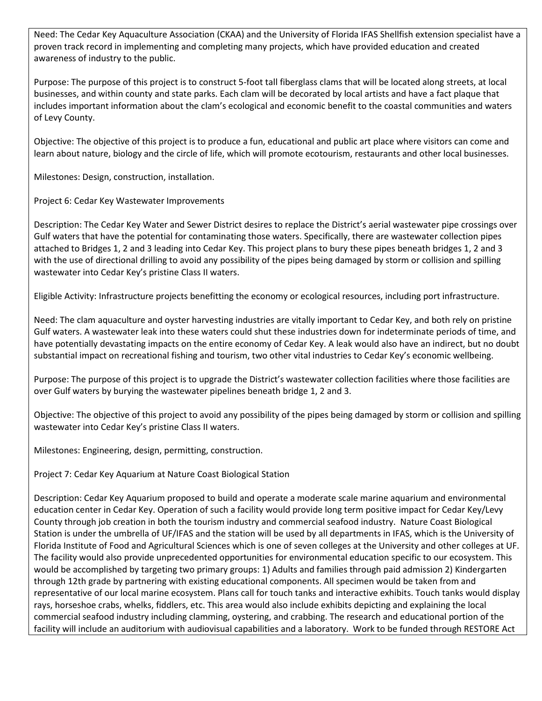Need: The Cedar Key Aquaculture Association (CKAA) and the University of Florida IFAS Shellfish extension specialist have a proven track record in implementing and completing many projects, which have provided education and created awareness of industry to the public.

Purpose: The purpose of this project is to construct 5-foot tall fiberglass clams that will be located along streets, at local businesses, and within county and state parks. Each clam will be decorated by local artists and have a fact plaque that includes important information about the clam's ecological and economic benefit to the coastal communities and waters of Levy County.

Objective: The objective of this project is to produce a fun, educational and public art place where visitors can come and learn about nature, biology and the circle of life, which will promote ecotourism, restaurants and other local businesses.

Milestones: Design, construction, installation.

Project 6: Cedar Key Wastewater Improvements

Description: The Cedar Key Water and Sewer District desires to replace the District's aerial wastewater pipe crossings over Gulf waters that have the potential for contaminating those waters. Specifically, there are wastewater collection pipes attached to Bridges 1, 2 and 3 leading into Cedar Key. This project plans to bury these pipes beneath bridges 1, 2 and 3 with the use of directional drilling to avoid any possibility of the pipes being damaged by storm or collision and spilling wastewater into Cedar Key's pristine Class II waters.

Eligible Activity: Infrastructure projects benefitting the economy or ecological resources, including port infrastructure.

Need: The clam aquaculture and oyster harvesting industries are vitally important to Cedar Key, and both rely on pristine Gulf waters. A wastewater leak into these waters could shut these industries down for indeterminate periods of time, and have potentially devastating impacts on the entire economy of Cedar Key. A leak would also have an indirect, but no doubt substantial impact on recreational fishing and tourism, two other vital industries to Cedar Key's economic wellbeing.

Purpose: The purpose of this project is to upgrade the District's wastewater collection facilities where those facilities are over Gulf waters by burying the wastewater pipelines beneath bridge 1, 2 and 3.

Objective: The objective of this project to avoid any possibility of the pipes being damaged by storm or collision and spilling wastewater into Cedar Key's pristine Class II waters.

Milestones: Engineering, design, permitting, construction.

Project 7: Cedar Key Aquarium at Nature Coast Biological Station

Description: Cedar Key Aquarium proposed to build and operate a moderate scale marine aquarium and environmental education center in Cedar Key. Operation of such a facility would provide long term positive impact for Cedar Key/Levy County through job creation in both the tourism industry and commercial seafood industry. Nature Coast Biological Station is under the umbrella of UF/IFAS and the station will be used by all departments in IFAS, which is the University of Florida Institute of Food and Agricultural Sciences which is one of seven colleges at the University and other colleges at UF. The facility would also provide unprecedented opportunities for environmental education specific to our ecosystem. This would be accomplished by targeting two primary groups: 1) Adults and families through paid admission 2) Kindergarten through 12th grade by partnering with existing educational components. All specimen would be taken from and representative of our local marine ecosystem. Plans call for touch tanks and interactive exhibits. Touch tanks would display rays, horseshoe crabs, whelks, fiddlers, etc. This area would also include exhibits depicting and explaining the local commercial seafood industry including clamming, oystering, and crabbing. The research and educational portion of the facility will include an auditorium with audiovisual capabilities and a laboratory. Work to be funded through RESTORE Act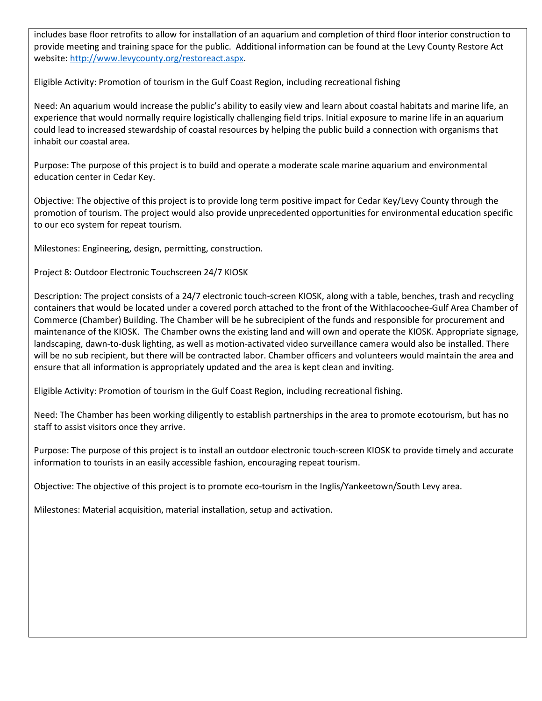includes base floor retrofits to allow for installation of an aquarium and completion of third floor interior construction to provide meeting and training space for the public. Additional information can be found at the Levy County Restore Act website: http://www.levycounty.org/restoreact.aspx.

Eligible Activity: Promotion of tourism in the Gulf Coast Region, including recreational fishing

Need: An aquarium would increase the public's ability to easily view and learn about coastal habitats and marine life, an experience that would normally require logistically challenging field trips. Initial exposure to marine life in an aquarium could lead to increased stewardship of coastal resources by helping the public build a connection with organisms that inhabit our coastal area.

Purpose: The purpose of this project is to build and operate a moderate scale marine aquarium and environmental education center in Cedar Key.

Objective: The objective of this project is to provide long term positive impact for Cedar Key/Levy County through the promotion of tourism. The project would also provide unprecedented opportunities for environmental education specific to our eco system for repeat tourism.

Milestones: Engineering, design, permitting, construction.

Project 8: Outdoor Electronic Touchscreen 24/7 KIOSK

Description: The project consists of a 24/7 electronic touch-screen KIOSK, along with a table, benches, trash and recycling containers that would be located under a covered porch attached to the front of the Withlacoochee-Gulf Area Chamber of Commerce (Chamber) Building. The Chamber will be he subrecipient of the funds and responsible for procurement and maintenance of the KIOSK. The Chamber owns the existing land and will own and operate the KIOSK. Appropriate signage, landscaping, dawn-to-dusk lighting, as well as motion-activated video surveillance camera would also be installed. There will be no sub recipient, but there will be contracted labor. Chamber officers and volunteers would maintain the area and ensure that all information is appropriately updated and the area is kept clean and inviting.

Eligible Activity: Promotion of tourism in the Gulf Coast Region, including recreational fishing.

Need: The Chamber has been working diligently to establish partnerships in the area to promote ecotourism, but has no staff to assist visitors once they arrive.

Purpose: The purpose of this project is to install an outdoor electronic touch-screen KIOSK to provide timely and accurate information to tourists in an easily accessible fashion, encouraging repeat tourism.

Objective: The objective of this project is to promote eco-tourism in the Inglis/Yankeetown/South Levy area.

Milestones: Material acquisition, material installation, setup and activation.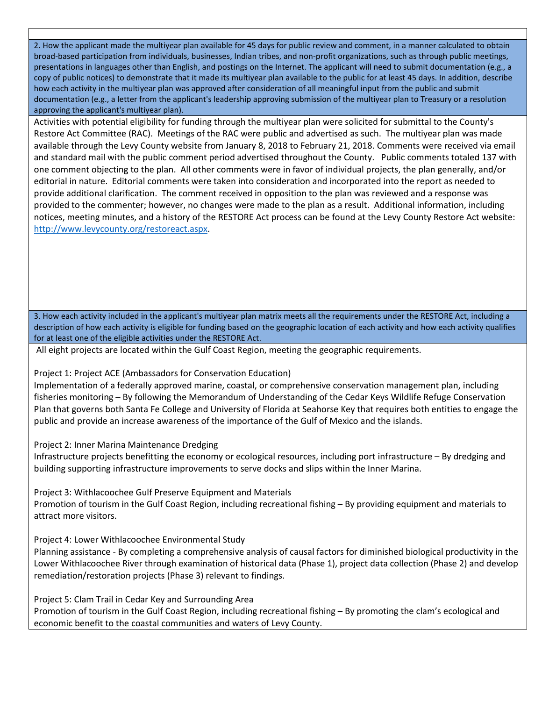2. How the applicant made the multiyear plan available for 45 days for public review and comment, in a manner calculated to obtain broad-based participation from individuals, businesses, Indian tribes, and non-profit organizations, such as through public meetings, presentations in languages other than English, and postings on the Internet. The applicant will need to submit documentation (e.g., a copy of public notices) to demonstrate that it made its multiyear plan available to the public for at least 45 days. In addition, describe how each activity in the multiyear plan was approved after consideration of all meaningful input from the public and submit documentation (e.g., a letter from the applicant's leadership approving submission of the multiyear plan to Treasury or a resolution approving the applicant's multiyear plan).

Activities with potential eligibility for funding through the multiyear plan were solicited for submittal to the County's Restore Act Committee (RAC). Meetings of the RAC were public and advertised as such. The multiyear plan was made available through the Levy County website from January 8, 2018 to February 21, 2018. Comments were received via email and standard mail with the public comment period advertised throughout the County. Public comments totaled 137 with one comment objecting to the plan. All other comments were in favor of individual projects, the plan generally, and/or editorial in nature. Editorial comments were taken into consideration and incorporated into the report as needed to provide additional clarification. The comment received in opposition to the plan was reviewed and a response was provided to the commenter; however, no changes were made to the plan as a result. Additional information, including notices, meeting minutes, and a history of the RESTORE Act process can be found at the Levy County Restore Act website: http://www.levycounty.org/restoreact.aspx.

3. How each activity included in the applicant's multiyear plan matrix meets all the requirements under the RESTORE Act, including a description of how each activity is eligible for funding based on the geographic location of each activity and how each activity qualifies for at least one of the eligible activities under the RESTORE Act.

All eight projects are located within the Gulf Coast Region, meeting the geographic requirements.

Project 1: Project ACE (Ambassadors for Conservation Education)

Implementation of a federally approved marine, coastal, or comprehensive conservation management plan, including fisheries monitoring – By following the Memorandum of Understanding of the Cedar Keys Wildlife Refuge Conservation Plan that governs both Santa Fe College and University of Florida at Seahorse Key that requires both entities to engage the public and provide an increase awareness of the importance of the Gulf of Mexico and the islands.

Project 2: Inner Marina Maintenance Dredging

Infrastructure projects benefitting the economy or ecological resources, including port infrastructure – By dredging and building supporting infrastructure improvements to serve docks and slips within the Inner Marina.

Project 3: Withlacoochee Gulf Preserve Equipment and Materials Promotion of tourism in the Gulf Coast Region, including recreational fishing – By providing equipment and materials to attract more visitors.

Project 4: Lower Withlacoochee Environmental Study

Planning assistance - By completing a comprehensive analysis of causal factors for diminished biological productivity in the Lower Withlacoochee River through examination of historical data (Phase 1), project data collection (Phase 2) and develop remediation/restoration projects (Phase 3) relevant to findings.

Project 5: Clam Trail in Cedar Key and Surrounding Area Promotion of tourism in the Gulf Coast Region, including recreational fishing – By promoting the clam's ecological and economic benefit to the coastal communities and waters of Levy County.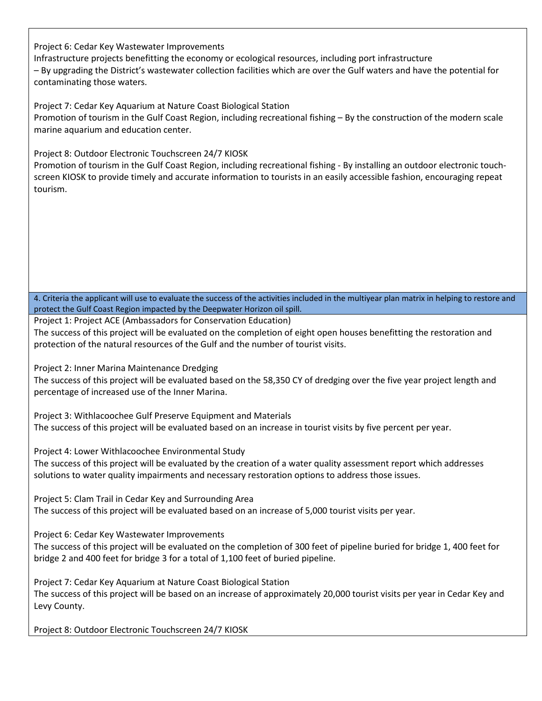Project 6: Cedar Key Wastewater Improvements

Infrastructure projects benefitting the economy or ecological resources, including port infrastructure – By upgrading the District's wastewater collection facilities which are over the Gulf waters and have the potential for contaminating those waters.

Project 7: Cedar Key Aquarium at Nature Coast Biological Station Promotion of tourism in the Gulf Coast Region, including recreational fishing – By the construction of the modern scale marine aquarium and education center.

### Project 8: Outdoor Electronic Touchscreen 24/7 KIOSK

Promotion of tourism in the Gulf Coast Region, including recreational fishing - By installing an outdoor electronic touchscreen KIOSK to provide timely and accurate information to tourists in an easily accessible fashion, encouraging repeat tourism.

4. Criteria the applicant will use to evaluate the success of the activities included in the multiyear plan matrix in helping to restore and protect the Gulf Coast Region impacted by the Deepwater Horizon oil spill.

Project 1: Project ACE (Ambassadors for Conservation Education)

The success of this project will be evaluated on the completion of eight open houses benefitting the restoration and protection of the natural resources of the Gulf and the number of tourist visits.

Project 2: Inner Marina Maintenance Dredging

The success of this project will be evaluated based on the 58,350 CY of dredging over the five year project length and percentage of increased use of the Inner Marina.

Project 3: Withlacoochee Gulf Preserve Equipment and Materials The success of this project will be evaluated based on an increase in tourist visits by five percent per year.

Project 4: Lower Withlacoochee Environmental Study The success of this project will be evaluated by the creation of a water quality assessment report which addresses solutions to water quality impairments and necessary restoration options to address those issues.

Project 5: Clam Trail in Cedar Key and Surrounding Area The success of this project will be evaluated based on an increase of 5,000 tourist visits per year.

Project 6: Cedar Key Wastewater Improvements

The success of this project will be evaluated on the completion of 300 feet of pipeline buried for bridge 1, 400 feet for bridge 2 and 400 feet for bridge 3 for a total of 1,100 feet of buried pipeline.

Project 7: Cedar Key Aquarium at Nature Coast Biological Station The success of this project will be based on an increase of approximately 20,000 tourist visits per year in Cedar Key and Levy County.

Project 8: Outdoor Electronic Touchscreen 24/7 KIOSK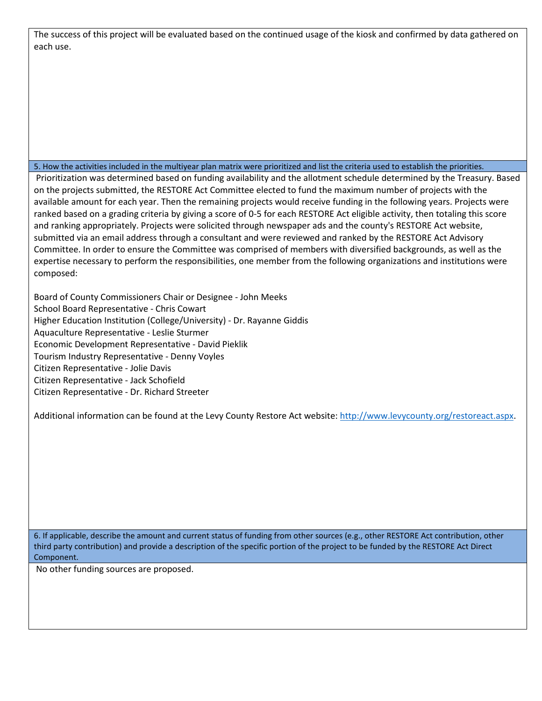| The success of this project will be evaluated based on the continued usage of the kiosk and confirmed by data gathered on |
|---------------------------------------------------------------------------------------------------------------------------|
| each use.                                                                                                                 |

#### 5. How the activities included in the multiyear plan matrix were prioritized and list the criteria used to establish the priorities.

Prioritization was determined based on funding availability and the allotment schedule determined by the Treasury. Based on the projects submitted, the RESTORE Act Committee elected to fund the maximum number of projects with the available amount for each year. Then the remaining projects would receive funding in the following years. Projects were ranked based on a grading criteria by giving a score of 0-5 for each RESTORE Act eligible activity, then totaling this score and ranking appropriately. Projects were solicited through newspaper ads and the county's RESTORE Act website, submitted via an email address through a consultant and were reviewed and ranked by the RESTORE Act Advisory Committee. In order to ensure the Committee was comprised of members with diversified backgrounds, as well as the expertise necessary to perform the responsibilities, one member from the following organizations and institutions were composed:

Board of County Commissioners Chair or Designee - John Meeks School Board Representative - Chris Cowart Higher Education Institution (College/University) - Dr. Rayanne Giddis Aquaculture Representative - Leslie Sturmer Economic Development Representative - David Pieklik Tourism Industry Representative - Denny Voyles Citizen Representative - Jolie Davis Citizen Representative - Jack Schofield Citizen Representative - Dr. Richard Streeter

Additional information can be found at the Levy County Restore Act website: http://www.levycounty.org/restoreact.aspx.

6. If applicable, describe the amount and current status of funding from other sources (e.g., other RESTORE Act contribution, other third party contribution) and provide a description of the specific portion of the project to be funded by the RESTORE Act Direct Component.

No other funding sources are proposed.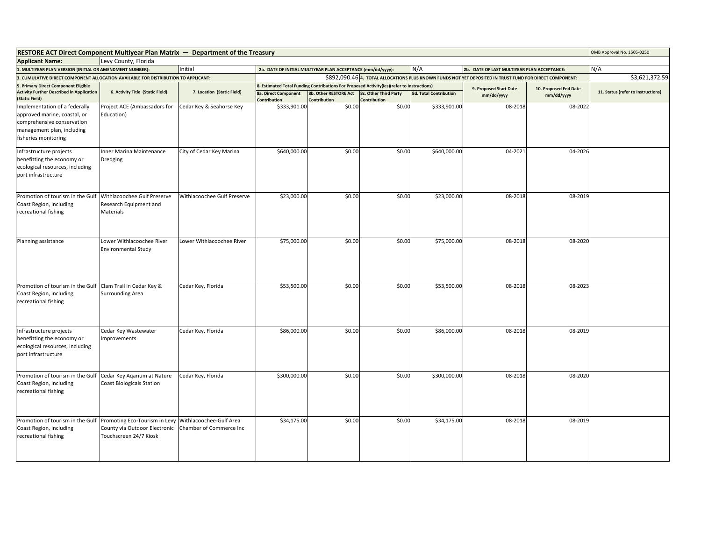| <b>RESTORE ACT Direct Component Multiyear Plan Matrix — Department of the Treasury</b>                                                            |                                                                                          |                                                    |                                      |                                                             |                                                                                            |                               |                                                                                                          | OMB Approval No. 1505-0250 |                                    |
|---------------------------------------------------------------------------------------------------------------------------------------------------|------------------------------------------------------------------------------------------|----------------------------------------------------|--------------------------------------|-------------------------------------------------------------|--------------------------------------------------------------------------------------------|-------------------------------|----------------------------------------------------------------------------------------------------------|----------------------------|------------------------------------|
| <b>Applicant Name:</b><br>Levy County, Florida                                                                                                    |                                                                                          |                                                    |                                      |                                                             |                                                                                            |                               |                                                                                                          |                            |                                    |
| Initial<br>1. MULTIYEAR PLAN VERSION (INITIAL OR AMENDMENT NUMBER):                                                                               |                                                                                          |                                                    |                                      | 2a. DATE OF INITIAL MULTIYEAR PLAN ACCEPTANCE (mm/dd/yyyy): |                                                                                            | N/A                           | 2b. DATE OF LAST MULTIYEAR PLAN ACCEPTANCE:                                                              |                            | N/A                                |
| 3. CUMULATIVE DIRECT COMPONENT ALLOCATION AVAILABLE FOR DISTRIBUTION TO APPLICANT:                                                                |                                                                                          |                                                    |                                      |                                                             |                                                                                            |                               | \$892,090.46 4. TOTAL ALLOCATIONS PLUS KNOWN FUNDS NOT YET DEPOSITED IN TRUST FUND FOR DIRECT COMPONENT: |                            | \$3,621,372.59                     |
| 5. Primary Direct Component Eligible                                                                                                              |                                                                                          |                                                    |                                      |                                                             | 8. Estimated Total Funding Contributions For Proposed Activity(ies)(refer to Instructions) |                               | 9. Proposed Start Date<br>mm/dd/yyyy                                                                     | 10. Proposed End Date      |                                    |
| <b>Activity Further Described in Application</b><br>(Static Field)                                                                                | 6. Activity Title (Static Field)                                                         | 7. Location (Static Field)                         | 8a. Direct Component<br>Contribution | 8b. Other RESTORE Act<br>Contribution                       | <b>8c. Other Third Party</b><br>Contribution                                               | <b>8d. Total Contribution</b> |                                                                                                          | mm/dd/yyyy                 | 11. Status (refer to Instructions) |
| Implementation of a federally<br>approved marine, coastal, or<br>comprehensive conservation<br>management plan, including<br>fisheries monitoring | Project ACE (Ambassadors for<br>Education)                                               | Cedar Key & Seahorse Key                           | \$333,901.00                         | \$0.00                                                      | \$0.00                                                                                     | \$333,901.00                  | 08-2018                                                                                                  | 08-2022                    |                                    |
| Infrastructure projects<br>benefitting the economy or<br>ecological resources, including<br>port infrastructure                                   | Inner Marina Maintenance<br>Dredging                                                     | City of Cedar Key Marina                           | \$640,000.00                         | \$0.00                                                      | \$0.00                                                                                     | \$640,000.00                  | 04-2021                                                                                                  | 04-2026                    |                                    |
| Promotion of tourism in the Gulf<br>Coast Region, including<br>recreational fishing                                                               | Withlacoochee Gulf Preserve<br>Research Equipment and<br>Materials                       | Withlacoochee Gulf Preserve                        | \$23,000.00                          | \$0.00                                                      | \$0.00                                                                                     | \$23,000.00                   | 08-2018                                                                                                  | 08-2019                    |                                    |
| Planning assistance                                                                                                                               | Lower Withlacoochee River<br><b>Environmental Study</b>                                  | Lower Withlacoochee River                          | \$75,000.00                          | \$0.00                                                      | \$0.00                                                                                     | \$75,000.00                   | 08-2018                                                                                                  | 08-2020                    |                                    |
| Promotion of tourism in the Gulf<br>Coast Region, including<br>recreational fishing                                                               | Clam Trail in Cedar Key &<br><b>Surrounding Area</b>                                     | Cedar Key, Florida                                 | \$53,500.00                          | \$0.00                                                      | \$0.00                                                                                     | \$53,500.00                   | 08-2018                                                                                                  | 08-2023                    |                                    |
| Infrastructure projects<br>benefitting the economy or<br>ecological resources, including<br>port infrastructure                                   | Cedar Key Wastewater<br>Improvements                                                     | Cedar Key, Florida                                 | \$86,000.00                          | \$0.00                                                      | \$0.00                                                                                     | \$86,000.00                   | 08-2018                                                                                                  | 08-2019                    |                                    |
| Promotion of tourism in the Gulf<br>Coast Region, including<br>recreational fishing                                                               | Cedar Key Aqarium at Nature<br><b>Coast Biologicals Station</b>                          | Cedar Key, Florida                                 | \$300,000.00                         | \$0.00                                                      | \$0.00                                                                                     | \$300,000.00                  | 08-2018                                                                                                  | 08-2020                    |                                    |
| Promotion of tourism in the Gulf<br>Coast Region, including<br>recreational fishing                                                               | Promoting Eco-Tourism in Levy<br>County via Outdoor Electronic<br>Touchscreen 24/7 Kiosk | Withlacoochee-Gulf Area<br>Chamber of Commerce Inc | \$34,175.00                          | \$0.00                                                      | \$0.00                                                                                     | \$34,175.00                   | 08-2018                                                                                                  | 08-2019                    |                                    |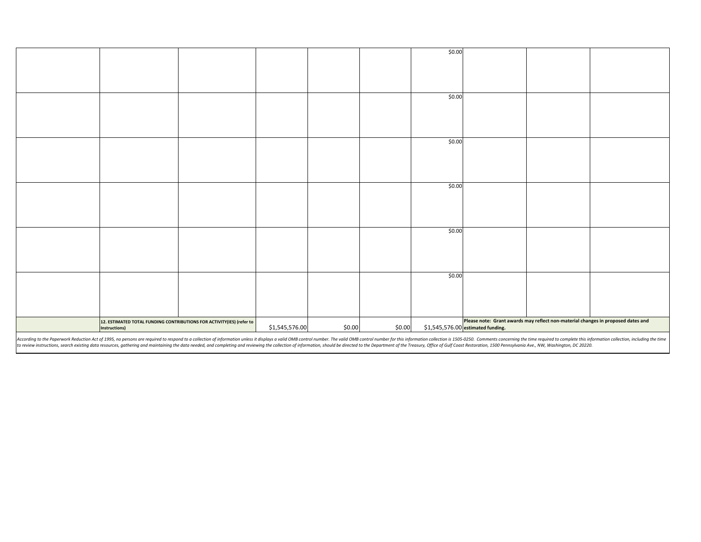|                                                                                                                                                                                                                                |                |        |        | \$0.00                                                                                                                |  |  |  |
|--------------------------------------------------------------------------------------------------------------------------------------------------------------------------------------------------------------------------------|----------------|--------|--------|-----------------------------------------------------------------------------------------------------------------------|--|--|--|
|                                                                                                                                                                                                                                |                |        |        |                                                                                                                       |  |  |  |
|                                                                                                                                                                                                                                |                |        |        |                                                                                                                       |  |  |  |
|                                                                                                                                                                                                                                |                |        |        |                                                                                                                       |  |  |  |
|                                                                                                                                                                                                                                |                |        |        |                                                                                                                       |  |  |  |
|                                                                                                                                                                                                                                |                |        |        |                                                                                                                       |  |  |  |
|                                                                                                                                                                                                                                |                |        |        |                                                                                                                       |  |  |  |
|                                                                                                                                                                                                                                |                |        |        | \$0.00                                                                                                                |  |  |  |
|                                                                                                                                                                                                                                |                |        |        |                                                                                                                       |  |  |  |
|                                                                                                                                                                                                                                |                |        |        |                                                                                                                       |  |  |  |
|                                                                                                                                                                                                                                |                |        |        |                                                                                                                       |  |  |  |
|                                                                                                                                                                                                                                |                |        |        |                                                                                                                       |  |  |  |
|                                                                                                                                                                                                                                |                |        |        |                                                                                                                       |  |  |  |
|                                                                                                                                                                                                                                |                |        |        |                                                                                                                       |  |  |  |
|                                                                                                                                                                                                                                |                |        |        | \$0.00                                                                                                                |  |  |  |
|                                                                                                                                                                                                                                |                |        |        |                                                                                                                       |  |  |  |
|                                                                                                                                                                                                                                |                |        |        |                                                                                                                       |  |  |  |
|                                                                                                                                                                                                                                |                |        |        |                                                                                                                       |  |  |  |
|                                                                                                                                                                                                                                |                |        |        |                                                                                                                       |  |  |  |
|                                                                                                                                                                                                                                |                |        |        |                                                                                                                       |  |  |  |
|                                                                                                                                                                                                                                |                |        |        |                                                                                                                       |  |  |  |
|                                                                                                                                                                                                                                |                |        |        | \$0.00                                                                                                                |  |  |  |
|                                                                                                                                                                                                                                |                |        |        |                                                                                                                       |  |  |  |
|                                                                                                                                                                                                                                |                |        |        |                                                                                                                       |  |  |  |
|                                                                                                                                                                                                                                |                |        |        |                                                                                                                       |  |  |  |
|                                                                                                                                                                                                                                |                |        |        |                                                                                                                       |  |  |  |
|                                                                                                                                                                                                                                |                |        |        |                                                                                                                       |  |  |  |
|                                                                                                                                                                                                                                |                |        |        |                                                                                                                       |  |  |  |
|                                                                                                                                                                                                                                |                |        |        | \$0.00                                                                                                                |  |  |  |
|                                                                                                                                                                                                                                |                |        |        |                                                                                                                       |  |  |  |
|                                                                                                                                                                                                                                |                |        |        |                                                                                                                       |  |  |  |
|                                                                                                                                                                                                                                |                |        |        |                                                                                                                       |  |  |  |
|                                                                                                                                                                                                                                |                |        |        |                                                                                                                       |  |  |  |
|                                                                                                                                                                                                                                |                |        |        |                                                                                                                       |  |  |  |
|                                                                                                                                                                                                                                |                |        |        |                                                                                                                       |  |  |  |
|                                                                                                                                                                                                                                |                |        |        | \$0.00                                                                                                                |  |  |  |
|                                                                                                                                                                                                                                |                |        |        |                                                                                                                       |  |  |  |
|                                                                                                                                                                                                                                |                |        |        |                                                                                                                       |  |  |  |
|                                                                                                                                                                                                                                |                |        |        |                                                                                                                       |  |  |  |
|                                                                                                                                                                                                                                |                |        |        |                                                                                                                       |  |  |  |
|                                                                                                                                                                                                                                |                |        |        |                                                                                                                       |  |  |  |
|                                                                                                                                                                                                                                |                |        |        |                                                                                                                       |  |  |  |
| 12. ESTIMATED TOTAL FUNDING CONTRIBUTIONS FOR ACTIVITY(IES) (refer to                                                                                                                                                          |                |        |        |                                                                                                                       |  |  |  |
| Instructions)                                                                                                                                                                                                                  |                |        | \$0.00 | Please note: Grant awards may reflect non-material changes in proposed dates and<br>\$1,545,576.00 estimated funding. |  |  |  |
|                                                                                                                                                                                                                                | \$1,545,576.00 | \$0.00 |        |                                                                                                                       |  |  |  |
| According to the Department Reduction Act of 1005, an account to consume the consent to contact a collection of information unlos it displays a unlid OMD control aumhor for this information collection is 1505, OCO. Comment |                |        |        |                                                                                                                       |  |  |  |

According to the Paperwork Reduction Act of 1995, no persons are required to respond to a collection of information unless it displays a valid OMB control number. The valid OMB control number for this information collectio